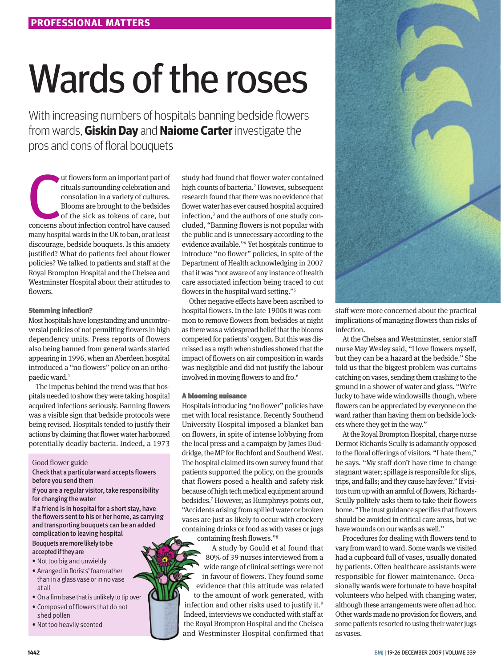# Wards of the roses

With increasing numbers of hospitals banning bedside flowers from wards, **Giskin Day** and **Naiome Carter** investigate the pros and cons of floral bouquets

Internation and important part of rituals surrounding celebration and consolation in a variety of cultures.<br>Blooms are brought to the bedsides of the sick as tokens of care, but concerns about infection control have caused ut flowers form an important part of rituals surrounding celebration and consolation in a variety of cultures. Blooms are brought to the bedsides of the sick as tokens of care, but many hospital wards in the UK to ban, or at least discourage, bedside bouquets. Is this anxiety justified? What do patients feel about flower policies? We talked to patients and staff at the Royal Brompton Hospital and the Chelsea and Westminster Hospital about their attitudes to flowers.

# Stemming infection?

Most hospitals have longstanding and uncontroversial policies of not permitting flowers in high dependency units. Press reports of flowers also being banned from general wards started appearing in 1996, when an Aberdeen hospital introduced a "no flowers" policy on an orthopaedic ward.<sup>1</sup>

The impetus behind the trend was that hospitals needed to show they were taking hospital acquired infections seriously. Banning flowers was a visible sign that bedside protocols were being revised. Hospitals tended to justify their actions by claiming that flower water harboured potentially deadly bacteria. Indeed, a 1973

Good flower guide

Check that a particular ward accepts flowers before you send them

If you are a regular visitor, take responsibility for changing the water

If a friend is in hospital for a short stay, have the flowers sent to his or her home, as carrying and transporting bouquets can be an added complication to leaving hospital

Bouquets are more likely to be accepted if they are

- • Not too big and unwieldy
- Arranged in florists' foam rather than in a glass vase or in no vase at all
- On a firm base that is unlikely to tip over
- • Composed of flowers that do not
- shed pollen
- • Not too heavily scented

study had found that flower water contained high counts of bacteria.<sup>2</sup> However, subsequent research found that there was no evidence that flower water has ever caused hospital acquired infection,<sup>3</sup> and the authors of one study concluded, "Banning flowers is not popular with the public and is unnecessary according to the evidence available."4 Yet hospitals continue to introduce "no flower" policies, in spite of the Department of Health acknowledging in 2007 that it was "not aware of any instance of health care associated infection being traced to cut flowers in the hospital ward setting."5

Other negative effects have been ascribed to hospital flowers. In the late 1900s it was common to remove flowers from bedsides at night as there was a widespread belief that the blooms competed for patients' oxygen. But this was dismissed as a myth when studies showed that the impact of flowers on air composition in wards was negligible and did not justify the labour involved in moving flowers to and fro.6

## A blooming nuisance

Hospitals introducing "no flower" policies have met with local resistance. Recently Southend University Hospital imposed a blanket ban on flowers, in spite of intense lobbying from the local press and a campaign by James Duddridge, the MP for Rochford and Southend West. The hospital claimed its own survey found that patients supported the policy, on the grounds that flowers posed a health and safety risk because of high tech medical equipment around bedsides.7 However, as Humphreys points out, "Accidents arising from spilled water or broken vases are just as likely to occur with crockery containing drinks or food as with vases or jugs containing fresh flowers."8

A study by Gould et al found that 80% of 39 nurses interviewed from a wide range of clinical settings were not in favour of flowers. They found some evidence that this attitude was related to the amount of work generated, with infection and other risks used to justify it.<sup>9</sup> Indeed, interviews we conducted with staff at the Royal Brompton Hospital and the Chelsea and Westminster Hospital confirmed that



staff were more concerned about the practical implications of managing flowers than risks of infection.

At the Chelsea and Westminster, senior staff nurse May Wesley said, "I love flowers myself, but they can be a hazard at the bedside." She told us that the biggest problem was curtains catching on vases, sending them crashing to the ground in a shower of water and glass. "We're lucky to have wide windowsills though, where flowers can be appreciated by everyone on the ward rather than having them on bedside lockers where they get in the way."

At the Royal Brompton Hospital, charge nurse Dermot Richards-Scully is adamantly opposed to the floral offerings of visitors. "I hate them," he says. "My staff don't have time to change stagnant water; spillage is responsible for slips, trips, and falls; and they cause hay fever." If visitors turn up with an armful of flowers, Richards-Scully politely asks them to take their flowers home. "The trust guidance specifies that flowers should be avoided in critical care areas, but we have wounds on our wards as well."

Procedures for dealing with flowers tend to vary from ward to ward. Some wards we visited had a cupboard full of vases, usually donated by patients. Often healthcare assistants were responsible for flower maintenance. Occasionally wards were fortunate to have hospital volunteers who helped with changing water, although these arrangements were often ad hoc. Other wards made no provision for flowers, and some patients resorted to using their water jugs as vases.